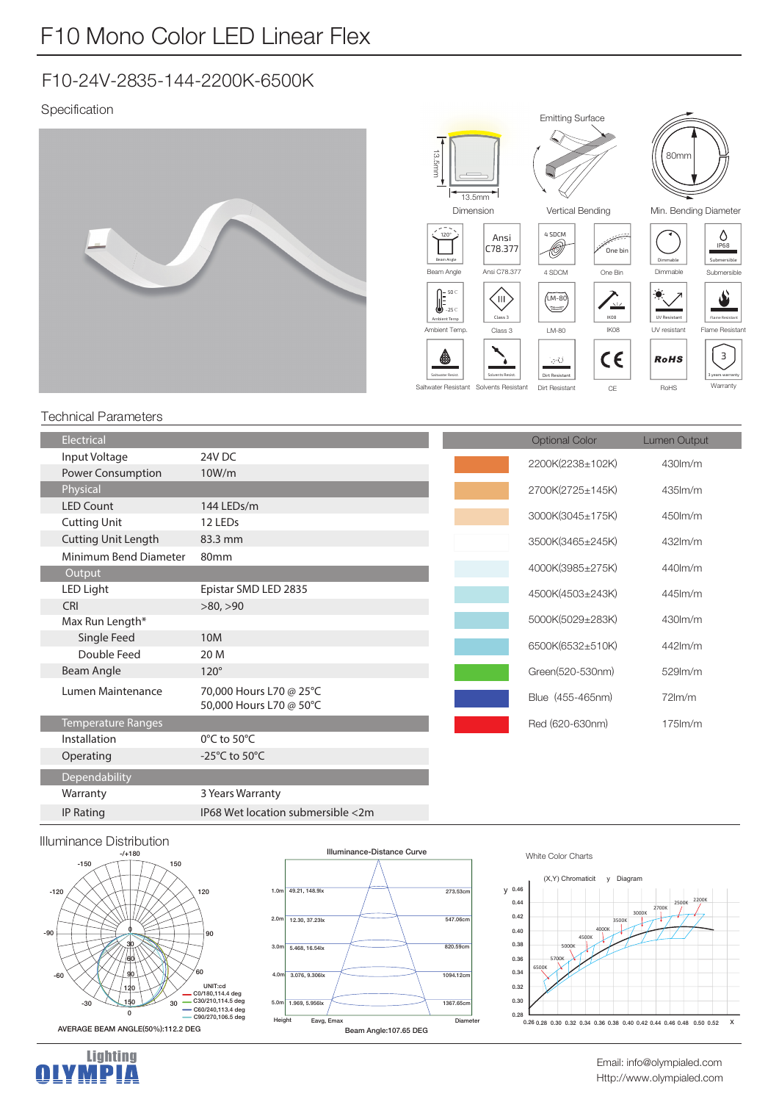# F10 Mono Color LED Linear Flex

## F10-24V-2835-144-2200K-6500K

#### Specification







Min. Bending Diameter

 $\Diamond$ IP68

<u></u> Dimmable  $\sim$ Submersible



 $\bullet$ 

Saltwater Resistant Solvents Resistant Dirt Resistant

| ←  | <b>RoHS</b> | З<br>3 years warranty |
|----|-------------|-----------------------|
| CE | RoHS        | Warranty              |
|    |             |                       |

Flame Resistant

#### Technical Parameters

| <b>Electrical</b>          |                                                    |
|----------------------------|----------------------------------------------------|
| Input Voltage              | 24V DC                                             |
| Power Consumption          | 10W/m                                              |
| Physical                   |                                                    |
| <b>LED Count</b>           | 144 LEDs/m                                         |
| <b>Cutting Unit</b>        | 12 LEDs                                            |
| <b>Cutting Unit Length</b> | 83.3 mm                                            |
| Minimum Bend Diameter      | 80 <sub>mm</sub>                                   |
| Output                     |                                                    |
| <b>LED Light</b>           | Epistar SMD LED 2835                               |
| <b>CRI</b>                 | >80, >90                                           |
| Max Run Length*            |                                                    |
| Single Feed                | 10M                                                |
| Double Feed                | 20 M                                               |
| Beam Angle                 | $120^\circ$                                        |
| Lumen Maintenance          | 70,000 Hours L70 @ 25°C<br>50,000 Hours L70 @ 50°C |
| <b>Temperature Ranges</b>  |                                                    |
| Installation               | $0^{\circ}$ C to 50 $^{\circ}$ C                   |
| Operating                  | -25°C to 50°C                                      |
| Dependability              |                                                    |
| Warranty                   | 3 Years Warranty                                   |
| <b>IP Rating</b>           | IP68 Wet location submersible <2m                  |

| Optional Color   | Lumen Output |
|------------------|--------------|
| 2200K(2238±102K) | 430lm/m      |
| 2700K(2725±145K) | $435$ $km/m$ |
| 3000K(3045±175K) | 450lm/m      |
| 3500K(3465±245K) | 432lm/m      |
| 4000K(3985±275K) | 440lm/m      |
| 4500K(4503±243K) | $445$ $km/m$ |
| 5000K(5029±283K) | 430lm/m      |
| 6500K(6532±510K) | 442lm/m      |
| Green(520-530nm) | 529lm/m      |
| Blue (455-465nm) | $72$ lm/m    |
| Red (620-630nm)  | $175$ $km/m$ |

#### Illuminance Distribution





#### White Color Charts



Lighting<br>**MPIA** H.

Http://www.olympialed.com Email: info@olympialed.com